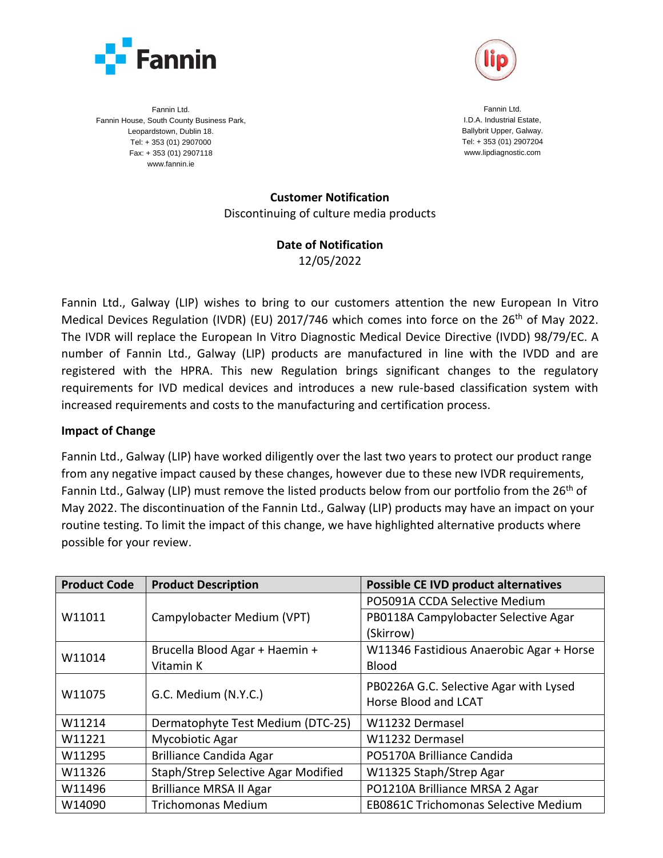



Fannin Ltd. Fannin House, South County Business Park, Leopardstown, Dublin 18. Tel: + 353 (01) 2907000 Fax: + 353 (01) 2907118 www.fannin.ie

Fannin Ltd. I.D.A. Industrial Estate, Ballybrit Upper, Galway. Tel: + 353 (01) 2907204 www.lipdiagnostic.com

**Customer Notification** Discontinuing of culture media products

## **Date of Notification**

12/05/2022

Fannin Ltd., Galway (LIP) wishes to bring to our customers attention the new European In Vitro Medical Devices Regulation (IVDR) (EU) 2017/746 which comes into force on the 26<sup>th</sup> of May 2022. The IVDR will replace the European In Vitro Diagnostic Medical Device Directive (IVDD) 98/79/EC. A number of Fannin Ltd., Galway (LIP) products are manufactured in line with the IVDD and are registered with the HPRA. This new Regulation brings significant changes to the regulatory requirements for IVD medical devices and introduces a new rule-based classification system with increased requirements and costs to the manufacturing and certification process.

## **Impact of Change**

Fannin Ltd., Galway (LIP) have worked diligently over the last two years to protect our product range from any negative impact caused by these changes, however due to these new IVDR requirements, Fannin Ltd., Galway (LIP) must remove the listed products below from our portfolio from the  $26<sup>th</sup>$  of May 2022. The discontinuation of the Fannin Ltd., Galway (LIP) products may have an impact on your routine testing. To limit the impact of this change, we have highlighted alternative products where possible for your review.

| <b>Product Code</b> | <b>Product Description</b>          | <b>Possible CE IVD product alternatives</b> |
|---------------------|-------------------------------------|---------------------------------------------|
| W11011              | Campylobacter Medium (VPT)          | PO5091A CCDA Selective Medium               |
|                     |                                     | PB0118A Campylobacter Selective Agar        |
|                     |                                     | (Skirrow)                                   |
| W11014              | Brucella Blood Agar + Haemin +      | W11346 Fastidious Anaerobic Agar + Horse    |
|                     | Vitamin K                           | <b>Blood</b>                                |
| W11075              | G.C. Medium (N.Y.C.)                | PB0226A G.C. Selective Agar with Lysed      |
|                     |                                     | Horse Blood and LCAT                        |
| W11214              | Dermatophyte Test Medium (DTC-25)   | W11232 Dermasel                             |
| W11221              | Mycobiotic Agar                     | W11232 Dermasel                             |
| W11295              | <b>Brilliance Candida Agar</b>      | PO5170A Brilliance Candida                  |
| W11326              | Staph/Strep Selective Agar Modified | W11325 Staph/Strep Agar                     |
| W11496              | <b>Brilliance MRSA II Agar</b>      | PO1210A Brilliance MRSA 2 Agar              |
| W14090              | <b>Trichomonas Medium</b>           | <b>EB0861C Trichomonas Selective Medium</b> |